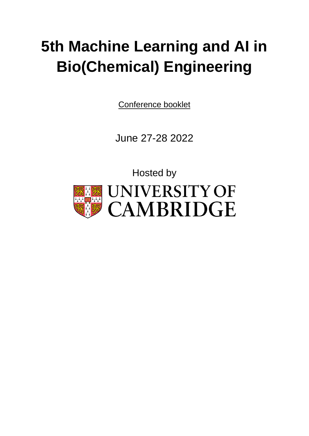# **5th Machine Learning and AI in Bio(Chemical) Engineering**

Conference booklet

June 27-28 2022

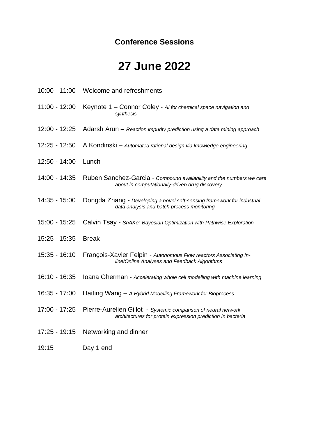### **Conference Sessions**

# **27 June 2022**

10:00 - 11:00 Welcome and refreshments

11:00 - 12:00 Keynote 1 – Connor Coley - *AI for chemical space navigation and synthesis* 12:00 - 12:25 Adarsh Arun – *Reaction impurity prediction using a data mining approach* 12:25 - 12:50 A Kondinski – *Automated rational design via knowledge engineering* 12:50 - 14:00 Lunch 14:00 - 14:35 Ruben Sanchez-Garcia - *Compound availability and the numbers we care about in computationally-driven drug discovery* 14:35 - 15:00 Dongda Zhang - *Developing a novel soft-sensing framework for industrial data analysis and batch process monitoring* 15:00 - 15:25 Calvin Tsay - *SnAKe: Bayesian Optimization with Pathwise Exploration* 15:25 - 15:35 Break 15:35 - 16:10 François-Xavier Felpin - *Autonomous Flow reactors Associating Inline/Online Analyses and Feedback Algorithms* 16:10 - 16:35 Ioana Gherman - *Accelerating whole cell modelling with machine learning* 16:35 - 17:00 Haiting Wang – *A Hybrid Modelling Framework for Bioprocess* 17:00 - 17:25 Pierre-Aurelien Gillot - *Systemic comparison of neural network architectures for protein expression prediction in bacteria* 17:25 - 19:15 Networking and dinner 19:15 Day 1 end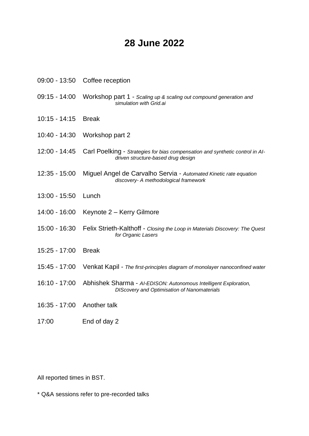### **28 June 2022**

- 09:00 13:50 Coffee reception
- 09:15 14:00 Workshop part 1 *Scaling up & scaling out compound generation and simulation with Grid.ai*
- 10:15 14:15 Break
- 10:40 14:30 Workshop part 2
- 12:00 14:45 Carl Poelking *Strategies for bias compensation and synthetic control in AIdriven structure-based drug design*
- 12:35 15:00 Miguel Angel de Carvalho Servia *Automated Kinetic rate equation discovery- A methodological framework*
- 13:00 15:50 Lunch
- 14:00 16:00 Keynote 2 Kerry Gilmore
- 15:00 16:30 Felix Strieth-Kalthoff *Closing the Loop in Materials Discovery: The Quest for Organic Lasers*
- 15:25 17:00 Break
- 15:45 17:00 Venkat Kapil *The first-principles diagram of monolayer nanoconfined water*
- 16:10 17:00 Abhishek Sharma *AI-EDISON: Autonomous Intelligent Exploration, DIScovery and Optimisation of Nanomaterials*
- 16:35 17:00 Another talk
- 17:00 End of day 2

All reported times in BST.

\* Q&A sessions refer to pre-recorded talks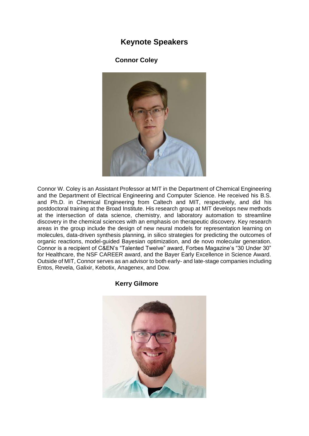### **Keynote Speakers**

**Connor Coley**



Connor W. Coley is an Assistant Professor at MIT in the Department of Chemical Engineering and the Department of Electrical Engineering and Computer Science. He received his B.S. and Ph.D. in Chemical Engineering from Caltech and MIT, respectively, and did his postdoctoral training at the Broad Institute. His research group at MIT develops new methods at the intersection of data science, chemistry, and laboratory automation to streamline discovery in the chemical sciences with an emphasis on therapeutic discovery. Key research areas in the group include the design of new neural models for representation learning on molecules, data-driven synthesis planning, in silico strategies for predicting the outcomes of organic reactions, model-guided Bayesian optimization, and de novo molecular generation. Connor is a recipient of C&EN's "Talented Twelve" award, Forbes Magazine's "30 Under 30" for Healthcare, the NSF CAREER award, and the Bayer Early Excellence in Science Award. Outside of MIT, Connor serves as an advisor to both early- and late-stage companies including Entos, Revela, Galixir, Kebotix, Anagenex, and Dow.

#### **Kerry Gilmore**

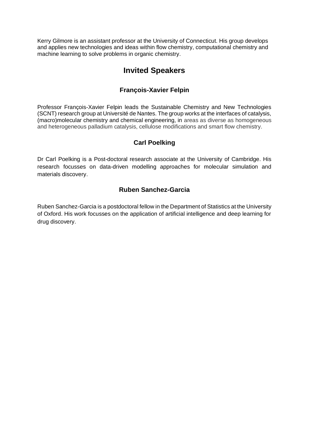Kerry Gilmore is an assistant professor at the University of Connecticut. His group develops and applies new technologies and ideas within flow chemistry, computational chemistry and machine learning to solve problems in organic chemistry.

### **Invited Speakers**

#### **François-Xavier Felpin**

Professor François-Xavier Felpin leads the Sustainable Chemistry and New Technologies (SCNT) research group at Université de Nantes. The group works at the interfaces of catalysis, (macro)molecular chemistry and chemical engineering, in areas as diverse as homogeneous and heterogeneous palladium catalysis, cellulose modifications and smart flow chemistry.

#### **Carl Poelking**

Dr Carl Poelking is a Post-doctoral research associate at the University of Cambridge. His research focusses on data-driven modelling approaches for molecular simulation and materials discovery.

#### **Ruben Sanchez-Garcia**

Ruben Sanchez-Garcia is a postdoctoral fellow in the Department of Statistics at the University of Oxford. His work focusses on the application of artificial intelligence and deep learning for drug discovery.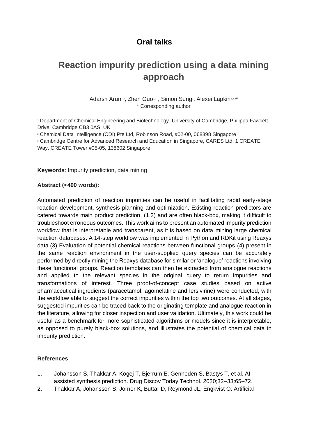### **Oral talks**

### **Reaction impurity prediction using a data mining approach**

Adarsh Arun<sup>1,3</sup>, Zhen Guo<sup>2,3</sup>, Simon Sung<sup>3</sup>, Alexei Lapkin<sup>1,2,3\*</sup> \* Corresponding author

<sup>1</sup> Department of Chemical Engineering and Biotechnology, University of Cambridge, Philippa Fawcett Drive, Cambridge CB3 0AS, UK

<sup>2</sup> Chemical Data Intelligence (CDI) Pte Ltd, Robinson Road, #02-00, 068898 Singapore

<sup>3</sup> Cambridge Centre for Advanced Research and Education in Singapore, CARES Ltd. 1 CREATE Way, CREATE Tower #05-05, 138602 Singapore

**Keywords**: Impurity prediction, data mining

#### **Abstract (<400 words):**

Automated prediction of reaction impurities can be useful in facilitating rapid early-stage reaction development, synthesis planning and optimization. Existing reaction predictors are catered towards main product prediction, (1,2) and are often black-box, making it difficult to troubleshoot erroneous outcomes. This work aims to present an automated impurity prediction workflow that is interpretable and transparent, as it is based on data mining large chemical reaction databases. A 14-step workflow was implemented in Python and RDKit using Reaxys data.(3) Evaluation of potential chemical reactions between functional groups (4) present in the same reaction environment in the user-supplied query species can be accurately performed by directly mining the Reaxys database for similar or 'analogue' reactions involving these functional groups. Reaction templates can then be extracted from analogue reactions and applied to the relevant species in the original query to return impurities and transformations of interest. Three proof-of-concept case studies based on active pharmaceutical ingredients (paracetamol, agomelatine and lersivirine) were conducted, with the workflow able to suggest the correct impurities within the top two outcomes. At all stages, suggested impurities can be traced back to the originating template and analogue reaction in the literature, allowing for closer inspection and user validation. Ultimately, this work could be useful as a benchmark for more sophisticated algorithms or models since it is interpretable, as opposed to purely black-box solutions, and illustrates the potential of chemical data in impurity prediction.

#### **References**

- 1. Johansson S, Thakkar A, Kogej T, Bjerrum E, Genheden S, Bastys T, et al. AIassisted synthesis prediction. Drug Discov Today Technol. 2020;32–33:65–72.
- 2. Thakkar A, Johansson S, Jorner K, Buttar D, Reymond JL, Engkvist O. Artificial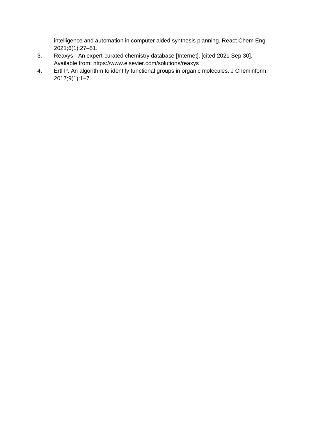intelligence and automation in computer aided synthesis planning. React Chem Eng. 2021;6(1):27–51.

- 3. Reaxys An expert-curated chemistry database [Internet]. [cited 2021 Sep 30]. Available from: https://www.elsevier.com/solutions/reaxys
- 4. Ertl P. An algorithm to identify functional groups in organic molecules. J Cheminform. 2017;9(1):1–7.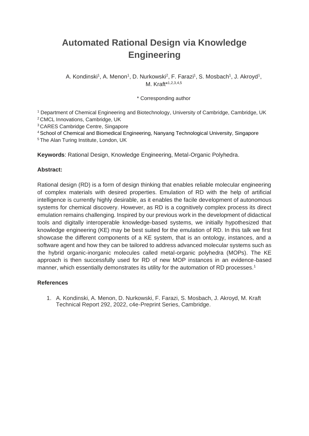# **Automated Rational Design via Knowledge Engineering**

A. Kondinski<sup>1</sup>, A. Menon<sup>1</sup>, D. Nurkowski<sup>2</sup>, F. Farazi<sup>1</sup>, S. Mosbach<sup>1</sup>, J. Akroyd<sup>1</sup>, M. Kraft\*1,2,3,4,5

\* Corresponding author

<sup>1</sup> Department of Chemical Engineering and Biotechnology, University of Cambridge, Cambridge, UK <sup>2</sup>CMCL Innovations, Cambridge, UK

<sup>3</sup>CARES Cambridge Centre, Singapore

<sup>4</sup>School of Chemical and Biomedical Engineering, Nanyang Technological University, Singapore

<sup>5</sup>The Alan Turing Institute, London, UK

**Keywords**: Rational Design, Knowledge Engineering, Metal-Organic Polyhedra.

#### **Abstract:**

Rational design (RD) is a form of design thinking that enables reliable molecular engineering of complex materials with desired properties. Emulation of RD with the help of artificial intelligence is currently highly desirable, as it enables the facile development of autonomous systems for chemical discovery. However, as RD is a cognitively complex process its direct emulation remains challenging. Inspired by our previous work in the development of didactical tools and digitally interoperable knowledge-based systems, we initially hypothesized that knowledge engineering (KE) may be best suited for the emulation of RD. In this talk we first showcase the different components of a KE system, that is an ontology, instances, and a software agent and how they can be tailored to address advanced molecular systems such as the hybrid organic-inorganic molecules called metal-organic polyhedra (MOPs). The KE approach is then successfully used for RD of new MOP instances in an evidence-based manner, which essentially demonstrates its utility for the automation of RD processes.<sup>1</sup>

#### **References**

1. A. Kondinski, A. Menon, D. Nurkowski, F. Farazi, S. Mosbach, J. Akroyd, M. Kraft Technical Report 292, 2022, c4e-Preprint Series, Cambridge.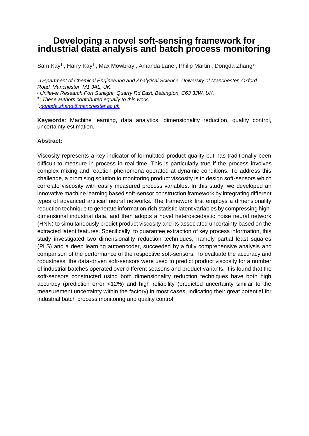### **Developing a novel soft-sensing framework for industrial data analysis and batch process monitoring**

Sam Kay<sup>‡</sup>', Harry Kay<sup>‡</sup>', Max Mowbray', Amanda Lane<sup>2</sup>, Philip Martin<sup>1</sup>, Dongda Zhang\*<sup>1</sup>

*<sup>1</sup> Department of Chemical Engineering and Analytical Science, University of Manchester, Oxford Road, Manchester, M1 3AL, UK.*

*<sup>2</sup> Unilever Research Port Sunlight, Quarry Rd East, Bebington, C63 3JW, UK.*

*ǂ : These authors contributed equally to this work.*

*\* [:dongda.zhang@manchester.ac.uk](mailto:dongda.zhang@manchester.ac.uk)*

**Keywords**: Machine learning, data analytics, dimensionality reduction, quality control, uncertainty estimation.

#### **Abstract:**

Viscosity represents a key indicator of formulated product quality but has traditionally been difficult to measure in-process in real-time. This is particularly true if the process involves complex mixing and reaction phenomena operated at dynamic conditions. To address this challenge, a promising solution to monitoring product viscosity is to design soft-sensors which correlate viscosity with easily measured process variables. In this study, we developed an innovative machine learning based soft-sensor construction framework by integrating different types of advanced artificial neural networks. The framework first employs a dimensionality reduction technique to generate information-rich statistic latent variables by compressing highdimensional industrial data, and then adopts a novel heteroscedastic noise neural network (HNN) to simultaneously predict product viscosity and its associated uncertainty based on the extracted latent features. Specifically, to guarantee extraction of key process information, this study investigated two dimensionality reduction techniques, namely partial least squares (PLS) and a deep learning autoencoder, succeeded by a fully comprehensive analysis and comparison of the performance of the respective soft-sensors. To evaluate the accuracy and robustness, the data-driven soft-sensors were used to predict product viscosity for a number of industrial batches operated over different seasons and product variants. It is found that the soft-sensors constructed using both dimensionality reduction techniques have both high accuracy (prediction error <12%) and high reliability (predicted uncertainty similar to the measurement uncertainty within the factory) in most cases, indicating their great potential for industrial batch process monitoring and quality control.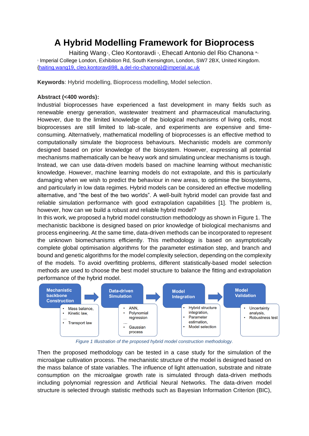### **A Hybrid Modelling Framework for Bioprocess**

Haiting Wang<sup>1</sup>, Cleo Kontoravdi 1, Ehecatl Antonio del Rio Chanona \*1 1 Imperial College London, Exhibition Rd, South Kensington, London, SW7 2BX, United Kingdom. [{haiting.wang19, cleo.kontoravdi98, a.del-rio-chanona}@imperial.ac.uk](mailto:haiting.wang19,%20cleo.kontoravdi98,%20a.del-rio-chanona%7d@imperial.ac.uk)

**Keywords**: Hybrid modelling, Bioprocess modelling, Model selection.

#### **Abstract (<400 words):**

Industrial bioprocesses have experienced a fast development in many fields such as renewable energy generation, wastewater treatment and pharmaceutical manufacturing. However, due to the limited knowledge of the biological mechanisms of living cells, most bioprocesses are still limited to lab-scale, and experiments are expensive and timeconsuming. Alternatively, mathematical modelling of bioprocesses is an effective method to computationally simulate the bioprocess behaviours. Mechanistic models are commonly designed based on prior knowledge of the biosystem. However, expressing all potential mechanisms mathematically can be heavy work and simulating unclear mechanisms is tough. Instead, we can use data-driven models based on machine learning without mechanistic knowledge. However, machine learning models do not extrapolate, and this is particularly damaging when we wish to predict the behaviour in new areas, to optimise the biosystems, and particularly in low data regimes. Hybrid models can be considered an effective modelling alternative, and "the best of the two worlds". A well-built hybrid model can provide fast and reliable simulation performance with good extrapolation capabilities [1]. The problem is, however, how can we build a robust and reliable hybrid model?

In this work, we proposed a hybrid model construction methodology as shown in Figure 1. The mechanistic backbone is designed based on prior knowledge of biological mechanisms and process engineering. At the same time, data-driven methods can be incorporated to represent the unknown biomechanisms efficiently. This methodology is based on asymptotically complete global optimisation algorithms for the parameter estimation step, and branch and bound and genetic algorithms for the model complexity selection, depending on the complexity of the models. To avoid overfitting problems, different statistically-based model selection methods are used to choose the best model structure to balance the fitting and extrapolation performance of the hybrid model.



*Figure 1 Illustration of the proposed hybrid model construction methodology.*

Then the proposed methodology can be tested in a case study for the simulation of the microalgae cultivation process. The mechanistic structure of the model is designed based on the mass balance of state variables. The influence of light attenuation, substrate and nitrate consumption on the microalgae growth rate is simulated through data-driven methods including polynomial regression and Artificial Neural Networks. The data-driven model structure is selected through statistic methods such as Bayesian Information Criterion (BIC),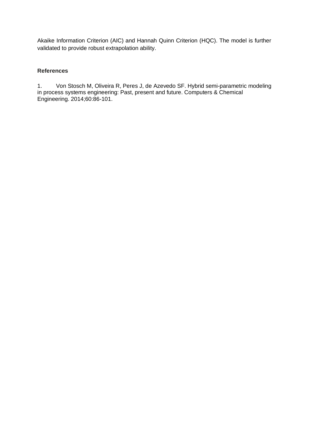Akaike Information Criterion (AIC) and Hannah Quinn Criterion (HQC). The model is further validated to provide robust extrapolation ability.

#### **References**

1. Von Stosch M, Oliveira R, Peres J, de Azevedo SF. Hybrid semi-parametric modeling in process systems engineering: Past, present and future. Computers & Chemical Engineering. 2014;60:86-101.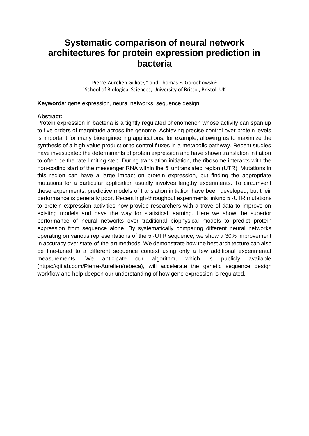### **Systematic comparison of neural network architectures for protein expression prediction in bacteria**

Pierre-Aurelien Gilliot<sup>1</sup>,\* and Thomas E. Gorochowski<sup>1</sup> <sup>1</sup>School of Biological Sciences, University of Bristol, Bristol, UK

**Keywords**: gene expression, neural networks, sequence design.

#### **Abstract:**

Protein expression in bacteria is a tightly regulated phenomenon whose activity can span up to five orders of magnitude across the genome. Achieving precise control over protein levels is important for many bioengineering applications, for example, allowing us to maximize the synthesis of a high value product or to control fluxes in a metabolic pathway. Recent studies have investigated the determinants of protein expression and have shown translation initiation to often be the rate-limiting step. During translation initiation, the ribosome interacts with the non-coding start of the messenger RNA within the 5' untranslated region (UTR). Mutations in this region can have a large impact on protein expression, but finding the appropriate mutations for a particular application usually involves lengthy experiments. To circumvent these experiments, predictive models of translation initiation have been developed, but their performance is generally poor. Recent high-throughput experiments linking 5'-UTR mutations to protein expression activities now provide researchers with a trove of data to improve on existing models and pave the way for statistical learning. Here we show the superior performance of neural networks over traditional biophysical models to predict protein expression from sequence alone. By systematically comparing different neural networks operating on various representations of the 5'-UTR sequence, we show a 30% improvement in accuracy over state-of-the-art methods. We demonstrate how the best architecture can also be fine-tuned to a different sequence context using only a few additional experimental measurements. We anticipate our algorithm, which is publicly available (https://gitlab.com/Pierre-Aurelien/rebeca), will accelerate the genetic sequence design workflow and help deepen our understanding of how gene expression is regulated.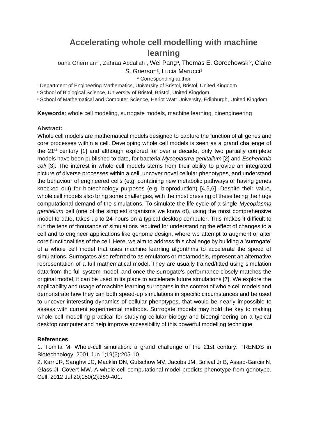### **Accelerating whole cell modelling with machine learning**

loana Gherman\*1, Zahraa Abdallah<sup>1</sup>, Wei Pang<sup>3</sup>, Thomas E. Gorochowski<sup>2</sup>, Claire S. Grierson<sup>2</sup>, Lucia Marucci<sup>1</sup>

\* Corresponding author

<sup>1</sup> Department of Engineering Mathematics, University of Bristol, Bristol, United Kingdom

<sup>2</sup> School of Biological Science, University of Bristol, Bristol, United Kingdom

<sup>3</sup> School of Mathematical and Computer Science, Heriot Watt University, Edinburgh, United Kingdom

**Keywords**: whole cell modeling, surrogate models, machine learning, bioengineering

#### **Abstract:**

Whole cell models are mathematical models designed to capture the function of all genes and core processes within a cell. Developing whole cell models is seen as a grand challenge of the  $21<sup>st</sup>$  century [1] and although explored for over a decade, only two partially complete models have been published to date, for bacteria *Mycoplasma genitalium* [2] and *Escherichia coli* [3]. The interest in whole cell models stems from their ability to provide an integrated picture of diverse processes within a cell, uncover novel cellular phenotypes, and understand the behaviour of engineered cells (e.g. containing new metabolic pathways or having genes knocked out) for biotechnology purposes (e.g. bioproduction) [4,5,6]. Despite their value, whole cell models also bring some challenges, with the most pressing of these being the huge computational demand of the simulations. To simulate the life cycle of a single *Mycoplasma genitalium* cell (one of the simplest organisms we know of), using the most comprehensive model to date, takes up to 24 hours on a typical desktop computer. This makes it difficult to run the tens of thousands of simulations required for understanding the effect of changes to a cell and to engineer applications like genome design, where we attempt to augment or alter core functionalities of the cell. Here, we aim to address this challenge by building a 'surrogate' of a whole cell model that uses machine learning algorithms to accelerate the speed of simulations. Surrogates also referred to as emulators or metamodels, represent an alternative representation of a full mathematical model. They are usually trained/fitted using simulation data from the full system model, and once the surrogate's performance closely matches the original model, it can be used in its place to accelerate future simulations [7]. We explore the applicability and usage of machine learning surrogates in the context of whole cell models and demonstrate how they can both speed-up simulations in specific circumstances and be used to uncover interesting dynamics of cellular phenotypes, that would be nearly impossible to assess with current experimental methods. Surrogate models may hold the key to making whole cell modelling practical for studying cellular biology and bioengineering on a typical desktop computer and help improve accessibility of this powerful modelling technique.

#### **References**

1. Tomita M. Whole-cell simulation: a grand challenge of the 21st century. TRENDS in Biotechnology. 2001 Jun 1;19(6):205-10.

2. Karr JR, Sanghvi JC, Macklin DN, Gutschow MV, Jacobs JM, Bolival Jr B, Assad-Garcia N, Glass JI, Covert MW. A whole-cell computational model predicts phenotype from genotype. Cell. 2012 Jul 20;150(2):389-401.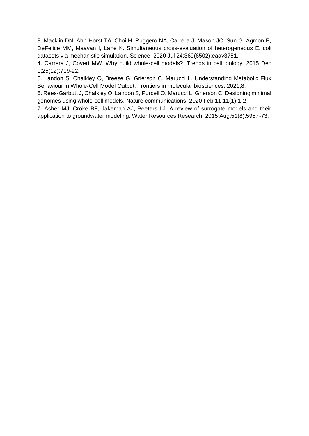3. Macklin DN, Ahn-Horst TA, Choi H, Ruggero NA, Carrera J, Mason JC, Sun G, Agmon E, DeFelice MM, Maayan I, Lane K. Simultaneous cross-evaluation of heterogeneous E. coli datasets via mechanistic simulation. Science. 2020 Jul 24;369(6502):eaav3751.

4. Carrera J, Covert MW. Why build whole-cell models?. Trends in cell biology. 2015 Dec 1;25(12):719-22.

5. Landon S, Chalkley O, Breese G, Grierson C, Marucci L. Understanding Metabolic Flux Behaviour in Whole-Cell Model Output. Frontiers in molecular biosciences. 2021;8.

6. Rees-Garbutt J, Chalkley O, Landon S, Purcell O, Marucci L, Grierson C. Designing minimal genomes using whole-cell models. Nature communications. 2020 Feb 11;11(1):1-2.

7. Asher MJ, Croke BF, Jakeman AJ, Peeters LJ. A review of surrogate models and their application to groundwater modeling. Water Resources Research. 2015 Aug;51(8):5957-73.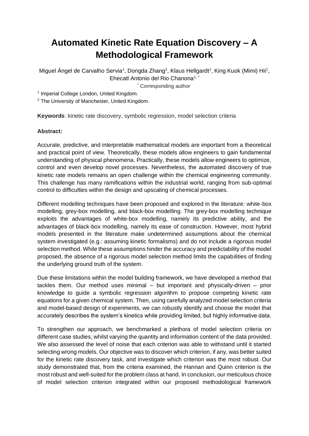## **Automated Kinetic Rate Equation Discovery – A Methodological Framework**

Miguel Ángel de Carvalho Servia<sup>1</sup>, Dongda Zhang<sup>2</sup>, Klaus Hellgardt<sup>1</sup>, King Kuok (Mimi) Hii<sup>1</sup>, Ehecatl Antonio del Rio Chanona<sup>1, \*</sup>

\* Corresponding author

<sup>1</sup> Imperial College London, United Kingdom.

<sup>2</sup> The University of Manchester, United Kingdom.

**Keywords**: kinetic rate discovery, symbolic regression, model selection criteria

#### **Abstract:**

Accurate, predictive, and interpretable mathematical models are important from a theoretical and practical point of view. Theoretically, these models allow engineers to gain fundamental understanding of physical phenomena. Practically, these models allow engineers to optimize, control and even develop novel processes. Nevertheless, the automated discovery of true kinetic rate models remains an open challenge within the chemical engineering community. This challenge has many ramifications within the industrial world, ranging from sub-optimal control to difficulties within the design and upscaling of chemical processes.

Different modelling techniques have been proposed and explored in the literature: white-box modelling, grey-box modelling, and black-box modelling. The grey-box modelling technique exploits the advantages of white-box modelling, namely its predictive ability, and the advantages of black-box modelling, namely its ease of construction. However, most hybrid models presented in the literature make undetermined assumptions about the chemical system investigated (e.g.: assuming kinetic formalisms) and do not include a rigorous model selection method. While these assumptions hinder the accuracy and predictability of the model proposed, the absence of a rigorous model selection method limits the capabilities of finding the underlying ground truth of the system.

Due these limitations within the model building framework, we have developed a method that tackles them. Our method uses minimal – but important and physically-driven – prior knowledge to guide a symbolic regression algorithm to propose competing kinetic rate equations for a given chemical system. Then, using carefully analyzed model selection criteria and model-based design of experiments, we can robustly identify and choose the model that accurately describes the system's kinetics while providing limited, but highly informative data.

To strengthen our approach, we benchmarked a plethora of model selection criteria on different case studies, whilst varying the quantity and information content of the data provided. We also assessed the level of noise that each criterion was able to withstand until it started selecting wrong models. Our objective was to discover which criterion, if any, was better suited for the kinetic rate discovery task, and investigate which criterion was the most robust. Our study demonstrated that, from the criteria examined, the Hannan and Quinn criterion is the most robust and well-suited for the problem class at hand. In conclusion, our meticulous choice of model selection criterion integrated within our proposed methodological framework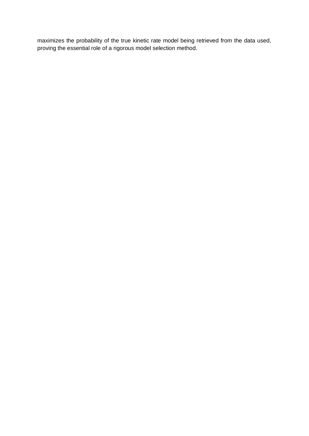maximizes the probability of the true kinetic rate model being retrieved from the data used, proving the essential role of a rigorous model selection method.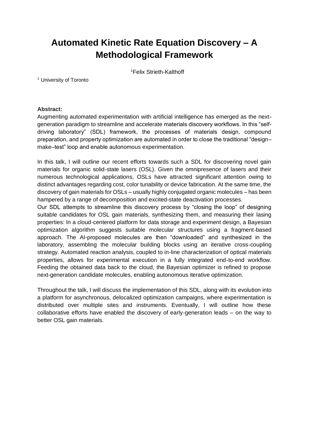# **Automated Kinetic Rate Equation Discovery – A Methodological Framework**

<sup>1</sup>Felix Strieth-Kalthoff

<sup>1</sup> University of Toronto

#### **Abstract:**

Augmenting automated experimentation with artificial intelligence has emerged as the nextgeneration paradigm to streamline and accelerate materials discovery workflows. In this "selfdriving laboratory" (SDL) framework, the processes of materials design, compound preparation, and property optimization are automated in order to close the traditional "design– make–test" loop and enable autonomous experimentation.

In this talk, I will outline our recent efforts towards such a SDL for discovering novel gain materials for organic solid-state lasers (OSL). Given the omnipresence of lasers and their numerous technological applications, OSLs have attracted significant attention owing to distinct advantages regarding cost, color tunability or device fabrication. At the same time, the discovery of gain materials for OSLs – usually highly conjugated organic molecules – has been hampered by a range of decomposition and excited-state deactivation processes.

Our SDL attempts to streamline this discovery process by "closing the loop" of designing suitable candidates for OSL gain materials, synthesizing them, and measuring their lasing properties: In a cloud-centered platform for data storage and experiment design, a Bayesian optimization algorithm suggests suitable molecular structures using a fragment-based approach. The AI-proposed molecules are then "downloaded" and synthesized in the laboratory, assembling the molecular building blocks using an iterative cross-coupling strategy. Automated reaction analysis, coupled to in-line characterization of optical materials properties, allows for experimental execution in a fully integrated end-to-end workflow. Feeding the obtained data back to the cloud, the Bayesian optimizer is refined to propose next-generation candidate molecules, enabling autonomous iterative optimization.

Throughout the talk, I will discuss the implementation of this SDL, along with its evolution into a platform for asynchronous, delocalized optimization campaigns, where experimentation is distributed over multiple sites and instruments. Eventually, I will outline how these collaborative efforts have enabled the discovery of early-generation leads – on the way to better OSL gain materials.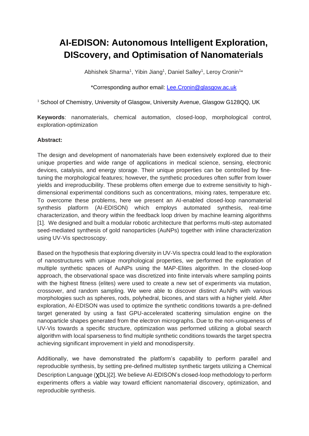# **AI-EDISON: Autonomous Intelligent Exploration, DIScovery, and Optimisation of Nanomaterials**

Abhishek Sharma<sup>1</sup>, Yibin Jiang<sup>1</sup>, Daniel Salley<sup>1</sup>, Leroy Cronin<sup>1\*</sup>

#### \*Corresponding author email: [Lee.Cronin@glasgow.ac.uk](mailto:Lee.Cronin@glasgow.ac.uk)

<sup>1</sup> School of Chemistry, University of Glasgow, University Avenue, Glasgow G128QQ, UK

**Keywords**: nanomaterials, chemical automation, closed-loop, morphological control, exploration-optimization

#### **Abstract:**

The design and development of nanomaterials have been extensively explored due to their unique properties and wide range of applications in medical science, sensing, electronic devices, catalysis, and energy storage. Their unique properties can be controlled by finetuning the morphological features; however, the synthetic procedures often suffer from lower yields and irreproducibility. These problems often emerge due to extreme sensitivity to highdimensional experimental conditions such as concentrations, mixing rates, temperature etc. To overcome these problems, here we present an AI-enabled closed-loop nanomaterial synthesis platform (AI-EDISON) which employs automated synthesis, real-time characterization, and theory within the feedback loop driven by machine learning algorithms [1]. We designed and built a modular robotic architecture that performs multi-step automated seed-mediated synthesis of gold nanoparticles (AuNPs) together with inline characterization using UV-Vis spectroscopy.

Based on the hypothesis that exploring diversity in UV-Vis spectra could lead to the exploration of nanostructures with unique morphological properties, we performed the exploration of multiple synthetic spaces of AuNPs using the MAP-Elites algorithm. In the closed-loop approach, the observational space was discretized into finite intervals where sampling points with the highest fitness (elites) were used to create a new set of experiments via mutation, crossover, and random sampling. We were able to discover distinct AuNPs with various morphologies such as spheres, rods, polyhedral, bicones, and stars with a higher yield. After exploration, AI-EDISON was used to optimize the synthetic conditions towards a pre-defined target generated by using a fast GPU-accelerated scattering simulation engine on the nanoparticle shapes generated from the electron micrographs. Due to the non-uniqueness of UV-Vis towards a specific structure, optimization was performed utilizing a global search algorithm with local sparseness to find multiple synthetic conditions towards the target spectra achieving significant improvement in yield and monodispersity.

Additionally, we have demonstrated the platform's capability to perform parallel and reproducible synthesis, by setting pre-defined multistep synthetic targets utilizing a Chemical Description Language (χDL)[2]. We believe AI-EDISON's closed-loop methodology to perform experiments offers a viable way toward efficient nanomaterial discovery, optimization, and reproducible synthesis.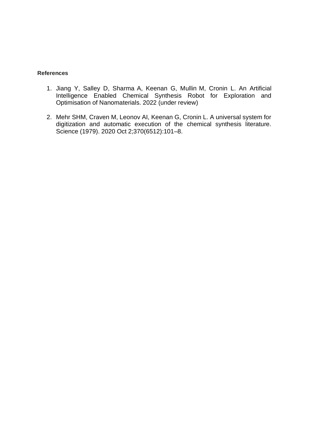#### **References**

- 1. Jiang Y, Salley D, Sharma A, Keenan G, Mullin M, Cronin L. An Artificial Intelligence Enabled Chemical Synthesis Robot for Exploration and Optimisation of Nanomaterials. 2022 (under review)
- 2. Mehr SHM, Craven M, Leonov AI, Keenan G, Cronin L. A universal system for digitization and automatic execution of the chemical synthesis literature. Science (1979). 2020 Oct 2;370(6512):101–8.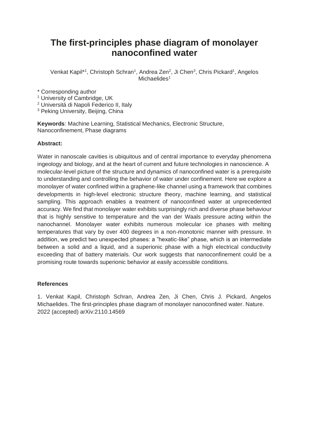### **The first-principles phase diagram of monolayer nanoconfined water**

Venkat Kapil<sup>\*1</sup>, Christoph Schran<sup>1</sup>, Andrea Zen<sup>2</sup>, Ji Chen<sup>3</sup>, Chris Pickard<sup>1</sup>, Angelos Michaelides $1$ 

\* Corresponding author

- <sup>1</sup> University of Cambridge, UK
- <sup>2</sup> Universitá di Napoli Federico II, Italy

<sup>3</sup> Peking University, Beijing, China

**Keywords**: Machine Learning, Statistical Mechanics, Electronic Structure, Nanoconfinement, Phase diagrams

#### **Abstract:**

Water in nanoscale cavities is ubiquitous and of central importance to everyday phenomena ingeology and biology, and at the heart of current and future technologies in nanoscience. A molecular-level picture of the structure and dynamics of nanoconfined water is a prerequisite to understanding and controlling the behavior of water under confinement. Here we explore a monolayer of water confined within a graphene-like channel using a framework that combines developments in high-level electronic structure theory, machine learning, and statistical sampling. This approach enables a treatment of nanoconfined water at unprecedented accuracy. We find that monolayer water exhibits surprisingly rich and diverse phase behaviour that is highly sensitive to temperature and the van der Waals pressure acting within the nanochannel. Monolayer water exhibits numerous molecular ice phases with melting temperatures that vary by over 400 degrees in a non-monotonic manner with pressure. In addition, we predict two unexpected phases: a "hexatic-like" phase, which is an intermediate between a solid and a liquid, and a superionic phase with a high electrical conductivity exceeding that of battery materials. Our work suggests that nanoconfinement could be a promising route towards superionic behavior at easily accessible conditions.

#### **References**

1. Venkat Kapil, Christoph Schran, Andrea Zen, Ji Chen, Chris J. Pickard, Angelos Michaelides. The first-principles phase diagram of monolayer nanoconfined water. Nature. 2022 (accepted) arXiv:2110.14569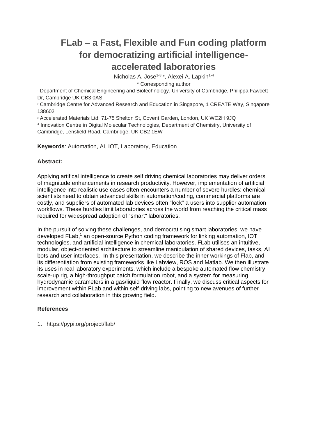# **FLab – a Fast, Flexible and Fun coding platform for democratizing artificial intelligenceaccelerated laboratories**

Nicholas A. Jose<sup>1-3\*</sup>, Alexei A. Lapkin<sup>1-4</sup>

\* Corresponding author

<sup>1</sup> Department of Chemical Engineering and Biotechnology, University of Cambridge, Philippa Fawcett Dr, Cambridge UK CB3 0AS

<sup>2</sup> Cambridge Centre for Advanced Research and Education in Singapore, 1 CREATE Way, Singapore 138602

<sup>3</sup> Accelerated Materials Ltd. 71-75 Shelton St, Covent Garden, London, UK WC2H 9JQ

4 Innovation Centre in Digital Molecular Technologies, Department of Chemistry, University of Cambridge, Lensfield Road, Cambridge, UK CB2 1EW

**Keywords**: Automation, AI, IOT, Laboratory, Education

#### **Abstract:**

Applying artifical intelligence to create self driving chemical laboratories may deliver orders of magnitude enhancements in research productivity. However, implementation of artificial intelligence into realistic use cases often encounters a number of severe hurdles: chemical scientists need to obtain advanced skills in automation/coding, commercial platforms are costly, and suppliers of automated lab devices often "lock" a users into supplier automation workflows. These hurdles limit laboratories across the world from reaching the critical mass required for widespread adoption of "smart" laboratories.

In the pursuit of solving these challenges, and democratising smart laboratories, we have developed FLab,<sup>1</sup> an open-source Python coding framework for linking automation, IOT technologies, and artificial intelligence in chemical laboratories. FLab utilises an intuitive, modular, object-oriented architecture to streamline manipulation of shared devices, tasks, AI bots and user interfaces. In this presentation, we describe the inner workings of Flab, and its differentiation from existing frameworks like Labview, ROS and Matlab. We then illustrate its uses in real laboratory experiments, which include a bespoke automated flow chemistry scale-up rig, a high-throughput batch formulation robot, and a system for measuring hydrodynamic parameters in a gas/liquid flow reactor. Finally, we discuss critical aspects for improvement within FLab and within self-driving labs, pointing to new avenues of further research and collaboration in this growing field.

#### **References**

1. https://pypi.org/project/flab/